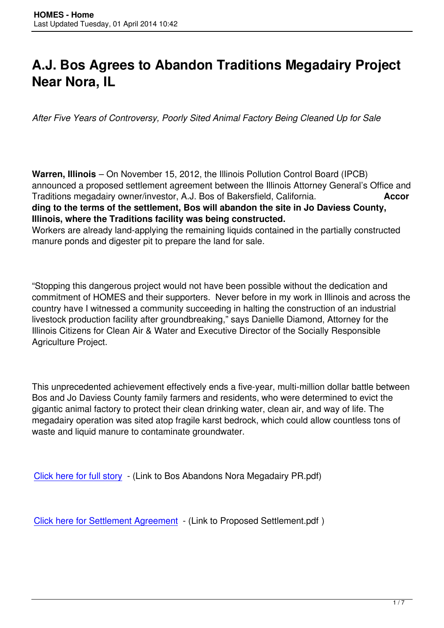# **A.J. Bos Agrees to Abandon Traditions Megadairy Project Near Nora, IL**

*After Five Years of Controversy, Poorly Sited Animal Factory Being Cleaned Up for Sale*

**Warren, Illinois** – On November 15, 2012, the Illinois Pollution Control Board (IPCB) announced a proposed settlement agreement between the Illinois Attorney General's Office and Traditions megadairy owner/investor, A.J. Bos of Bakersfield, California. **Accor ding to the terms of the settlement, Bos will abandon the site in Jo Daviess County, Illinois, where the Traditions facility was being constructed.** 

Workers are already land-applying the remaining liquids contained in the partially constructed manure ponds and digester pit to prepare the land for sale.

"Stopping this dangerous project would not have been possible without the dedication and commitment of HOMES and their supporters. Never before in my work in Illinois and across the country have I witnessed a community succeeding in halting the construction of an industrial livestock production facility after groundbreaking," says Danielle Diamond, Attorney for the Illinois Citizens for Clean Air & Water and Executive Director of the Socially Responsible Agriculture Project.

This unprecedented achievement effectively ends a five-year, multi-million dollar battle between Bos and Jo Daviess County family farmers and residents, who were determined to evict the gigantic animal factory to protect their clean drinking water, clean air, and way of life. The megadairy operation was sited atop fragile karst bedrock, which could allow countless tons of waste and liquid manure to contaminate groundwater.

Click here for full story - (Link to Bos Abandons Nora Megadairy PR.pdf)

[Click here for Settleme](images/pdfs/bos_abandons_nora_megadairy_pr.pdf)nt Agreement - (Link to Proposed Settlement.pdf )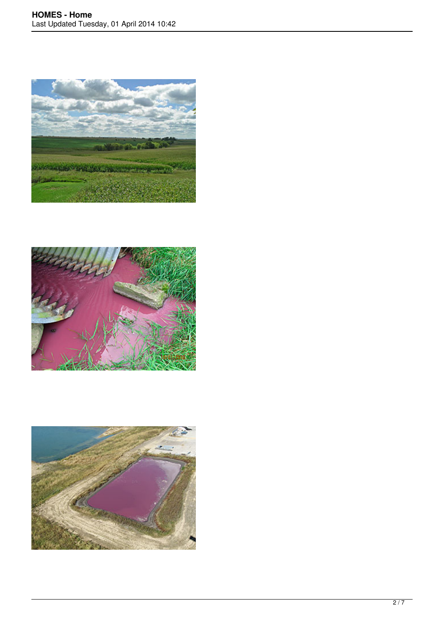



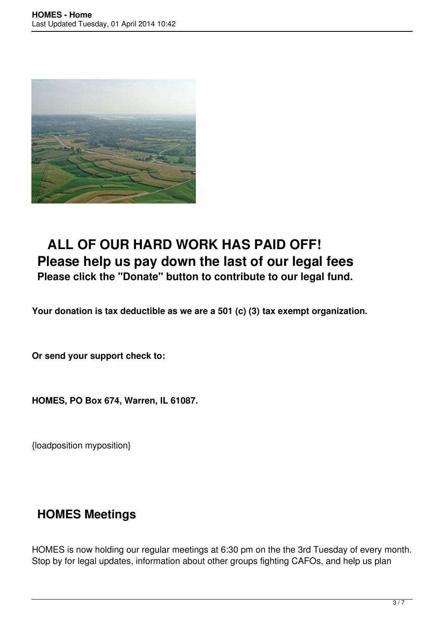

## **ALL OF OUR HARD WORK HAS PAID OFF! Please help us pay down the last of our legal fees Please click the "Donate" button to contribute to our legal fund.**

**Your donation is tax deductible as we are a 501 (c) (3) tax exempt organization.**

**Or send your support check to:**

**HOMES, PO Box 674, Warren, IL 61087.**

{loadposition myposition}

### **HOMES Meetings**

HOMES is now holding our regular meetings at 6:30 pm on the the 3rd Tuesday of every month. Stop by for legal updates, information about other groups fighting CAFOs, and help us plan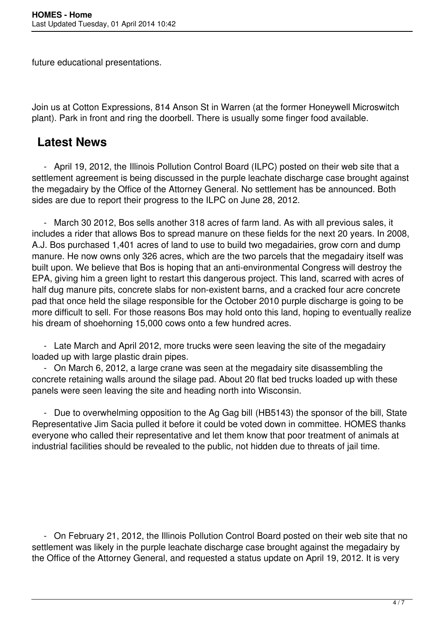future educational presentations.

Join us at Cotton Expressions, 814 Anson St in Warren (at the former Honeywell Microswitch plant). Park in front and ring the doorbell. There is usually some finger food available.

#### **Latest News**

 - April 19, 2012, the Illinois Pollution Control Board (ILPC) posted on their web site that a settlement agreement is being discussed in the purple leachate discharge case brought against the megadairy by the Office of the Attorney General. No settlement has be announced. Both sides are due to report their progress to the ILPC on June 28, 2012.

 - March 30 2012, Bos sells another 318 acres of farm land. As with all previous sales, it includes a rider that allows Bos to spread manure on these fields for the next 20 years. In 2008, A.J. Bos purchased 1,401 acres of land to use to build two megadairies, grow corn and dump manure. He now owns only 326 acres, which are the two parcels that the megadairy itself was built upon. We believe that Bos is hoping that an anti-environmental Congress will destroy the EPA, giving him a green light to restart this dangerous project. This land, scarred with acres of half dug manure pits, concrete slabs for non-existent barns, and a cracked four acre concrete pad that once held the silage responsible for the October 2010 purple discharge is going to be more difficult to sell. For those reasons Bos may hold onto this land, hoping to eventually realize his dream of shoehorning 15,000 cows onto a few hundred acres.

 - Late March and April 2012, more trucks were seen leaving the site of the megadairy loaded up with large plastic drain pipes.

 - On March 6, 2012, a large crane was seen at the megadairy site disassembling the concrete retaining walls around the silage pad. About 20 flat bed trucks loaded up with these panels were seen leaving the site and heading north into Wisconsin.

 - Due to overwhelming opposition to the Ag Gag bill (HB5143) the sponsor of the bill, State Representative Jim Sacia pulled it before it could be voted down in committee. HOMES thanks everyone who called their representative and let them know that poor treatment of animals at industrial facilities should be revealed to the public, not hidden due to threats of jail time.

 - On February 21, 2012, the Illinois Pollution Control Board posted on their web site that no settlement was likely in the purple leachate discharge case brought against the megadairy by the Office of the Attorney General, and requested a status update on April 19, 2012. It is very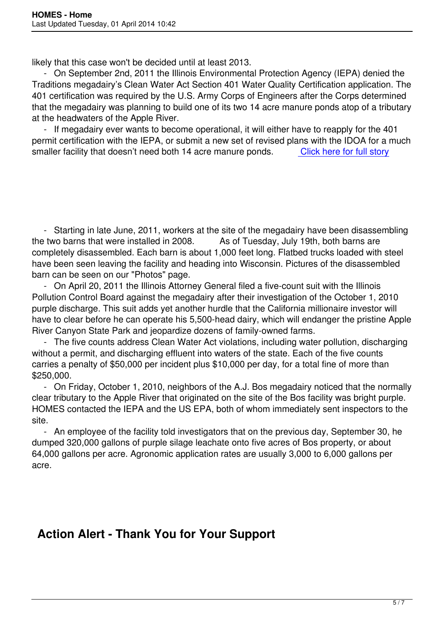likely that this case won't be decided until at least 2013.

 - On September 2nd, 2011 the Illinois Environmental Protection Agency (IEPA) denied the Traditions megadairy's Clean Water Act Section 401 Water Quality Certification application. The 401 certification was required by the U.S. Army Corps of Engineers after the Corps determined that the megadairy was planning to build one of its two 14 acre manure ponds atop of a tributary at the headwaters of the Apple River.

 - If megadairy ever wants to become operational, it will either have to reapply for the 401 permit certification with the IEPA, or submit a new set of revised plans with the IDOA for a much smaller facility that doesn't need both 14 acre manure ponds. Click here for full story

 - Starting in late June, 2011, workers at the site of the megadairy have been disassembling the two barns that were installed in 2008. As of Tuesday, July 19th, both barns are completely disassembled. Each barn is about 1,000 feet long. Flatbed trucks loaded with steel have been seen leaving the facility and heading into Wisconsin. Pictures of the disassembled barn can be seen on our "Photos" page.

 - On April 20, 2011 the Illinois Attorney General filed a five-count suit with the Illinois Pollution Control Board against the megadairy after their investigation of the October 1, 2010 purple discharge. This suit adds yet another hurdle that the California millionaire investor will have to clear before he can operate his 5,500-head dairy, which will endanger the pristine Apple River Canyon State Park and jeopardize dozens of family-owned farms.

 - The five counts address Clean Water Act violations, including water pollution, discharging without a permit, and discharging effluent into waters of the state. Each of the five counts carries a penalty of \$50,000 per incident plus \$10,000 per day, for a total fine of more than \$250,000.

 - On Friday, October 1, 2010, neighbors of the A.J. Bos megadairy noticed that the normally clear tributary to the Apple River that originated on the site of the Bos facility was bright purple. HOMES contacted the IEPA and the US EPA, both of whom immediately sent inspectors to the site.

 - An employee of the facility told investigators that on the previous day, September 30, he dumped 320,000 gallons of purple silage leachate onto five acres of Bos property, or about 64,000 gallons per acre. Agronomic application rates are usually 3,000 to 6,000 gallons per acre.

## **Action Alert - Thank You for Your Support**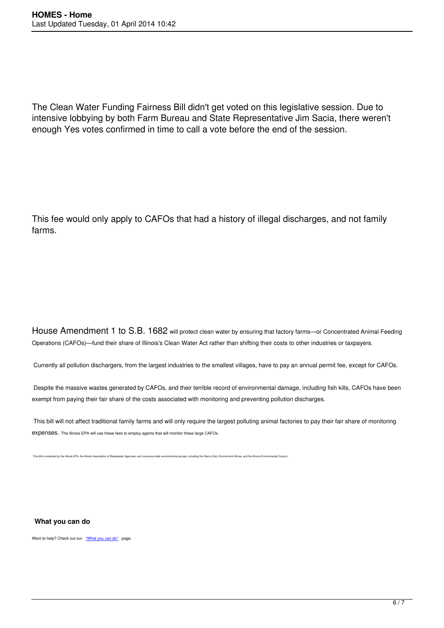The Clean Water Funding Fairness Bill didn't get voted on this legislative session. Due to intensive lobbying by both Farm Bureau and State Representative Jim Sacia, there weren't enough Yes votes confirmed in time to call a vote before the end of the session.

This fee would only apply to CAFOs that had a history of illegal discharges, and not family farms.

House Amendment 1 to S.B. 1682 will protect clean water by ensuring that factory farms-or Concentrated Animal Feeding Operations (CAFOs)—fund their share of Illinois's Clean Water Act rather than shifting their costs to other industries or taxpayers.

Currently all pollution dischargers, from the largest industries to the smallest villages, have to pay an annual permit fee, except for CAFOs.

 Despite the massive wastes generated by CAFOs, and their terrible record of environmental damage, including fish kills, CAFOs have been exempt from paying their fair share of the costs associated with monitoring and preventing pollution discharges.

 This bill will not affect traditional family farms and will only require the largest polluting animal factories to pay their fair share of monitoring expenses. The Illinois EPA will use these fees to employ agents that will monitor these large CAFOs.

This bill is endorsed by the Illinois EPA, the Illinois Association of Wastewater Agencies, and numerous state environmental groups, including the Sierra Club, Environment Illinois, and the Illinois Environmental Council.

#### **What you can do**

Want to help? Check out our "What you can do" page.